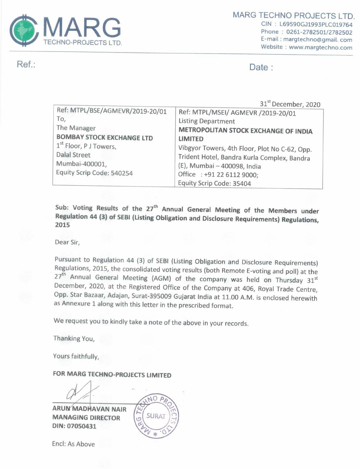

Ref.:

Date:

|                                                                                                                                                                                                       | 31 <sup>st</sup> December, 2020                                                                                                                                                                                                                                                                                          |
|-------------------------------------------------------------------------------------------------------------------------------------------------------------------------------------------------------|--------------------------------------------------------------------------------------------------------------------------------------------------------------------------------------------------------------------------------------------------------------------------------------------------------------------------|
| Ref: MTPL/BSE/AGMEVR/2019-20/01<br>To,<br>The Manager<br><b>BOMBAY STOCK EXCHANGE LTD</b><br>1 <sup>st</sup> Floor, P J Towers,<br><b>Dalal Street</b><br>Mumbai-400001,<br>Equity Scrip Code: 540254 | Ref: MTPL/MSEI/ AGMEVR /2019-20/01<br><b>Listing Department</b><br><b>METROPOLITAN STOCK EXCHANGE OF INDIA</b><br><b>LIMITED</b><br>Vibgyor Towers, 4th Floor, Plot No C-62, Opp.<br>Trident Hotel, Bandra Kurla Complex, Bandra<br>(E), Mumbai - 400098, India<br>Office: +91 22 6112 9000;<br>Equity Scrip Code: 35404 |

Sub: Voting Results of the 27<sup>th</sup> Annual General Meeting of the Members under Regulation 44 (3) of SEBI (Listing Obligation and Disclosure Requirements) Regulations, 2015

Dear Sir,

Pursuant to Regulation 44 (3) of SEBI (Listing Obligation and Disclosure Requirements) Regulations, 2015, the consolidated voting results (both Remote E-voting and poll) at the 27<sup>th</sup> Annual General Meeting (AGM) of the company was held on Thursday 31<sup>st</sup> December, 2020, at the Registered Office of the Company at 406, Royal Trade Centre, Opp. Star Bazaar, Adajan, Surat-395009 Gujarat India at 11.00 A.M. is enclosed herewith as Annexure 1 along with this letter in the prescribed format.

We request you to kindly take a note of the above in your records.

Thanking You,

Yours faithfully,

FOR MARG TECHNO-PROJECTS LIMITED

**ARUN MADHAVAN NAIR MANAGING DIRECTOR** DIN: 07050431



Encl: As Above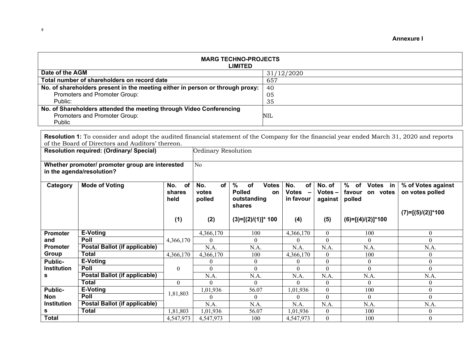**Annexure I** 

| <b>MARG TECHNO-PROJECTS</b><br><b>LIMITED</b>                                 |            |  |  |  |  |
|-------------------------------------------------------------------------------|------------|--|--|--|--|
| Date of the AGM                                                               | 31/12/2020 |  |  |  |  |
| Total number of shareholders on record date                                   | 657        |  |  |  |  |
| No. of shareholders present in the meeting either in person or through proxy: | 40         |  |  |  |  |
| Promoters and Promoter Group:                                                 | 05         |  |  |  |  |
| Public:                                                                       | 35         |  |  |  |  |
| No. of Shareholders attended the meeting through Video Conferencing           |            |  |  |  |  |
| Promoters and Promoter Group:                                                 | NIL        |  |  |  |  |
| Public                                                                        |            |  |  |  |  |

**Resolution 1:** To consider and adopt the audited financial statement of the Company for the financial year ended March 31, 2020 and reports of the Board of Directors and Auditors' thereon.

| Resolution required: (Ordinary/ Special)                                     |                                      |                                    | Ordinary Resolution          |                                                                                            |                                        |                                |                                                     |                                                              |  |
|------------------------------------------------------------------------------|--------------------------------------|------------------------------------|------------------------------|--------------------------------------------------------------------------------------------|----------------------------------------|--------------------------------|-----------------------------------------------------|--------------------------------------------------------------|--|
| Whether promoter/ promoter group are interested<br>in the agenda/resolution? |                                      |                                    | No                           |                                                                                            |                                        |                                |                                                     |                                                              |  |
| Category                                                                     | <b>Mode of Voting</b>                | <b>of</b><br>No.<br>shares<br>held | No.<br>of<br>votes<br>polled | $\frac{0}{0}$<br><b>of</b><br><b>Votes</b><br><b>Polled</b><br>on<br>outstanding<br>shares | No.<br>of<br><b>Votes</b><br>in favour | No. of<br>$Votes -$<br>against | %<br>Votes in<br>of<br>favour<br>on votes<br>polled | % of Votes against<br>on votes polled<br>$(7)=[(5)/(2)]*100$ |  |
|                                                                              |                                      | (1)                                | (2)                          | $(3)=[(2)/(1)]^*$ 100                                                                      | (4)                                    | (5)                            | $(6)=[(4)/(2)]*100$                                 |                                                              |  |
| <b>Promoter</b>                                                              | E-Voting                             |                                    | 4,366,170                    | 100                                                                                        | 4,366,170                              | $\Omega$                       | 100                                                 | $\Omega$                                                     |  |
| and                                                                          | Poll                                 | 4,366,170                          | $\theta$                     | 0                                                                                          | 0                                      | $\theta$                       | $\theta$                                            | 0                                                            |  |
| <b>Promoter</b>                                                              | <b>Postal Ballot (if applicable)</b> |                                    | N.A.                         | N.A.                                                                                       | N.A.                                   | N.A.                           | N.A.                                                | N.A.                                                         |  |
| Group                                                                        | <b>Total</b>                         | 4,366,170                          | 4,366,170                    | 100                                                                                        | 4,366,170                              | $\Omega$                       | 100                                                 | $\theta$                                                     |  |
| Public-                                                                      | E-Voting                             |                                    | $\mathbf{0}$                 | $\overline{0}$                                                                             | 0                                      | $\theta$                       | $\boldsymbol{0}$                                    | $\Omega$                                                     |  |
| <b>Institution</b>                                                           | Poll                                 | $\boldsymbol{0}$                   | $\theta$                     | $\theta$                                                                                   | $\theta$                               | $\theta$                       | $\mathbf{0}$                                        | $\Omega$                                                     |  |
| s                                                                            | Postal Ballot (if applicable)        |                                    | N.A.                         | N.A.                                                                                       | N.A.                                   | N.A.                           | N.A.                                                | N.A.                                                         |  |
|                                                                              | Total                                | $\overline{0}$                     | $\Omega$                     | $\Omega$                                                                                   | $\Omega$                               | $\overline{0}$                 | $\overline{0}$                                      | $\theta$                                                     |  |
| <b>Public-</b>                                                               | E-Voting                             | 1,81,803                           | 1,01,936                     | 56.07                                                                                      | 1,01,936                               | $\theta$                       | 100                                                 | $\theta$                                                     |  |
| Non                                                                          | Poll                                 |                                    | $\theta$                     | $\theta$                                                                                   | $\theta$                               | $\theta$                       | $\theta$                                            | $\Omega$                                                     |  |
| <b>Institution</b>                                                           | Postal Ballot (if applicable)        |                                    | N.A.                         | N.A.                                                                                       | N.A.                                   | N.A.                           | N.A.                                                | N.A.                                                         |  |
| s                                                                            | <b>Total</b>                         | 1,81,803                           | 1,01,936                     | 56.07                                                                                      | 1,01,936                               | $\overline{0}$                 | 100                                                 | $\theta$                                                     |  |
| <b>Total</b>                                                                 |                                      | 4,547,973                          | 4,547,973                    | 100                                                                                        | 4,547,973                              | $\theta$                       | 100                                                 | $\theta$                                                     |  |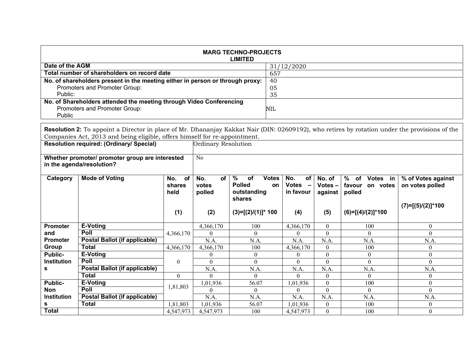| <b>MARG TECHNO-PROJECTS</b><br><b>LIMITED</b>                                 |            |  |  |  |  |
|-------------------------------------------------------------------------------|------------|--|--|--|--|
| Date of the AGM                                                               | 31/12/2020 |  |  |  |  |
| Total number of shareholders on record date                                   | 657        |  |  |  |  |
| No. of shareholders present in the meeting either in person or through proxy: | 40         |  |  |  |  |
| Promoters and Promoter Group:                                                 | 05         |  |  |  |  |
| Public:                                                                       | 35         |  |  |  |  |
| No. of Shareholders attended the meeting through Video Conferencing           |            |  |  |  |  |
| Promoters and Promoter Group:                                                 | NIL        |  |  |  |  |
| <b>Public</b>                                                                 |            |  |  |  |  |

**Resolution 2:** To appoint a Director in place of Mr. Dhananjay Kakkat Nair (DIN: 02609192), who retires by rotation under the provisions of the Companies Act, 2013 and being eligible, offers himself for re-appointment.

| . .<br>Resolution required: (Ordinary/ Special)<br>Ordinary Resolution       |                               |                             |                                     |                                                                                   |                                                                           |                                |                                                    |                                                              |
|------------------------------------------------------------------------------|-------------------------------|-----------------------------|-------------------------------------|-----------------------------------------------------------------------------------|---------------------------------------------------------------------------|--------------------------------|----------------------------------------------------|--------------------------------------------------------------|
| Whether promoter/ promoter group are interested<br>in the agenda/resolution? |                               |                             | No                                  |                                                                                   |                                                                           |                                |                                                    |                                                              |
| Category                                                                     | <b>Mode of Voting</b>         | of<br>No.<br>shares<br>held | No.<br><b>of</b><br>votes<br>polled | $\%$<br><b>of</b><br><b>Votes</b><br><b>Polled</b><br>on<br>outstanding<br>shares | No.<br><b>of</b><br><b>Votes</b><br>$\overline{\phantom{0}}$<br>in favour | No. of<br>$Votes -$<br>against | $%$ of<br>Votes in<br>favour<br>on votes<br>polled | % of Votes against<br>on votes polled<br>$(7)=[(5)/(2)]*100$ |
|                                                                              |                               | (1)                         | (2)                                 | $(3)=[(2)/(1)]^*$ 100                                                             | (4)                                                                       | (5)                            | $(6)=[(4)/(2)]*100$                                |                                                              |
| <b>Promoter</b>                                                              | <b>E-Voting</b>               |                             | 4,366,170                           | 100                                                                               | 4,366,170                                                                 | $\theta$                       | 100                                                | $\theta$                                                     |
| and                                                                          | Poll                          | 4,366,170                   | $\theta$                            | 0                                                                                 | $\theta$                                                                  | $\theta$                       | $\theta$                                           | $\Omega$                                                     |
| <b>Promoter</b>                                                              | Postal Ballot (if applicable) |                             | N.A.                                | N.A.                                                                              | N.A.                                                                      | N.A.                           | N.A.                                               | N.A.                                                         |
| Group                                                                        | Total                         | 4,366,170                   | 4,366,170                           | 100                                                                               | 4,366,170                                                                 | $\theta$                       | 100                                                | $\Omega$                                                     |
| <b>Public-</b>                                                               | E-Voting                      |                             | $\theta$                            | $\overline{0}$                                                                    | $\theta$                                                                  | $\theta$                       | $\overline{0}$                                     | 0                                                            |
| <b>Institution</b>                                                           | <b>Poll</b>                   | $\boldsymbol{0}$            | $\theta$                            | $\theta$                                                                          | $\theta$                                                                  | $\Omega$                       | $\overline{0}$                                     | $\Omega$                                                     |
| s                                                                            | Postal Ballot (if applicable) |                             | N.A.                                | N.A.                                                                              | N.A.                                                                      | N.A.                           | N.A.                                               | N.A.                                                         |
|                                                                              | Total                         | $\mathbf{0}$                | $\Omega$                            | 0                                                                                 | $\Omega$                                                                  | $\Omega$                       | $\theta$                                           | $\Omega$                                                     |
| Public-                                                                      | E-Voting                      | 1,81,803                    | 1,01,936                            | 56.07                                                                             | 1,01,936                                                                  | $\theta$                       | 100                                                | 0                                                            |
| <b>Non</b>                                                                   | Poll                          |                             | $\Omega$                            | $\overline{0}$                                                                    | $\theta$                                                                  | $\Omega$                       | $\theta$                                           | $\Omega$                                                     |
| Institution                                                                  | Postal Ballot (if applicable) |                             | N.A.                                | N.A.                                                                              | N.A.                                                                      | N.A.                           | N.A.                                               | N.A.                                                         |
| s                                                                            | Total                         | 1,81,803                    | 1,01,936                            | 56.07                                                                             | 1,01,936                                                                  | $\overline{0}$                 | 100                                                | 0                                                            |
| <b>Total</b>                                                                 |                               | 4,547,973                   | 4,547,973                           | 100                                                                               | 4,547,973                                                                 | $\theta$                       | 100                                                | 0                                                            |